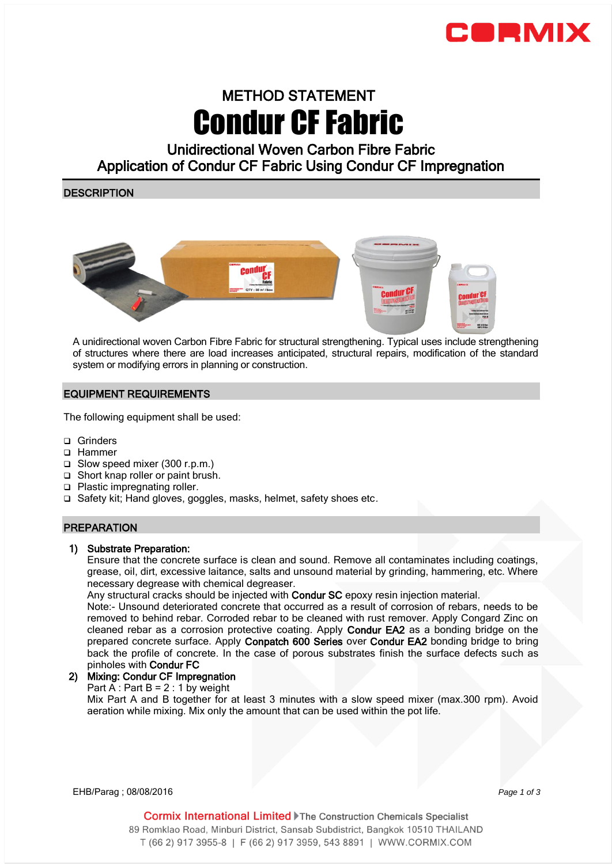

# METHOD STATEMENT Condur CF Fabric

Unidirectional Woven Carbon Fibre Fabric Application of Condur CF Fabric Using Condur CF Impregnation

# **DESCRIPTION**



A unidirectional woven Carbon Fibre Fabric for structural strengthening. Typical uses include strengthening of structures where there are load increases anticipated, structural repairs, modification of the standard system or modifying errors in planning or construction.

## EQUIPMENT REQUIREMENTS

The following equipment shall be used:

- □ Grinders
- □ Hammer
- Slow speed mixer (300 r.p.m.)
- □ Short knap roller or paint brush.
- □ Plastic impregnating roller.
- □ Safety kit; Hand gloves, goggles, masks, helmet, safety shoes etc.

## PREPARATION

### 1) Substrate Preparation:

Ensure that the concrete surface is clean and sound. Remove all contaminates including coatings, grease, oil, dirt, excessive laitance, salts and unsound material by grinding, hammering, etc. Where necessary degrease with chemical degreaser.

Any structural cracks should be injected with Condur SC epoxy resin injection material.

Note:- Unsound deteriorated concrete that occurred as a result of corrosion of rebars, needs to be removed to behind rebar. Corroded rebar to be cleaned with rust remover. Apply Congard Zinc on cleaned rebar as a corrosion protective coating. Apply Condur EA2 as a bonding bridge on the prepared concrete surface. Apply Conpatch 600 Series over Condur EA2 bonding bridge to bring back the profile of concrete. In the case of porous substrates finish the surface defects such as pinholes with Condur FC

### 2) Mixing: Condur CF Impregnation

Part A : Part  $B = 2 : 1$  by weight

Mix Part A and B together for at least 3 minutes with a slow speed mixer (max.300 rpm). Avoid aeration while mixing. Mix only the amount that can be used within the pot life.

EHB/Parag ; 08/08/2016 *Page 1 of 3* 

Cormix International Limited Fhe Construction Chemicals Specialist 89 Romklao Road, Minburi District, Sansab Subdistrict, Bangkok 10510 THAILAND T (66 2) 917 3955-8 | F (66 2) 917 3959, 543 8891 | WWW.CORMIX.COM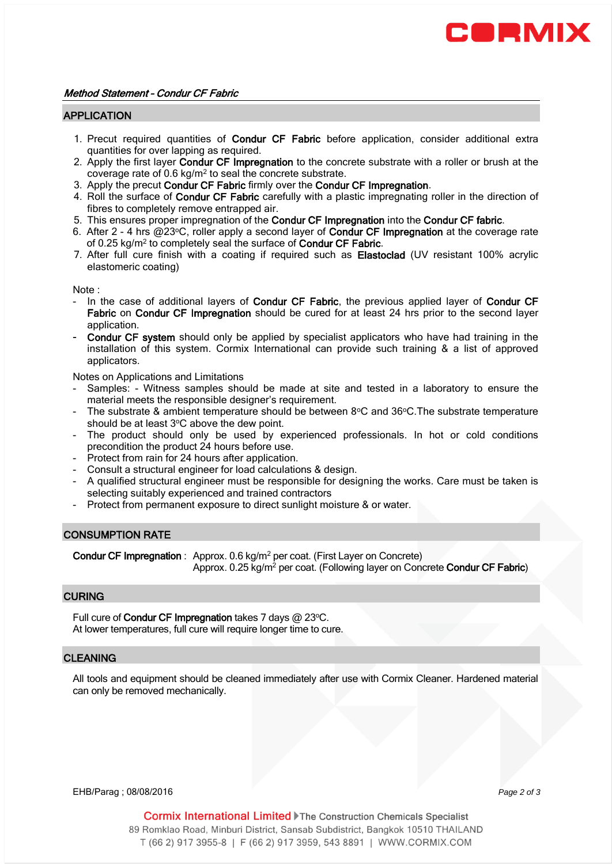

#### APPLICATION

- 1. Precut required quantities of **Condur CF Fabric** before application, consider additional extra quantities for over lapping as required.
- 2. Apply the first layer Condur CF Impregnation to the concrete substrate with a roller or brush at the coverage rate of 0.6  $kg/m^2$  to seal the concrete substrate.
- 3. Apply the precut Condur CF Fabric firmly over the Condur CF Impregnation.
- 4. Roll the surface of Condur CF Fabric carefully with a plastic impregnating roller in the direction of fibres to completely remove entrapped air.
- 5. This ensures proper impregnation of the Condur CF Impregnation into the Condur CF fabric.
- 6. After 2 4 hrs @23°C, roller apply a second layer of Condur CF Impregnation at the coverage rate of 0.25 kg/m<sup>2</sup> to completely seal the surface of **Condur CF Fabric**.
- 7. After full cure finish with a coating if required such as Elastoclad (UV resistant 100% acrylic elastomeric coating)

Note :

- In the case of additional layers of Condur CF Fabric, the previous applied layer of Condur CF Fabric on Condur CF Impregnation should be cured for at least 24 hrs prior to the second layer application.
- Condur CF system should only be applied by specialist applicators who have had training in the installation of this system. Cormix International can provide such training & a list of approved applicators.

Notes on Applications and Limitations

- Samples: Witness samples should be made at site and tested in a laboratory to ensure the material meets the responsible designer's requirement.
- The substrate & ambient temperature should be between  $8^{\circ}$ C and  $36^{\circ}$ C. The substrate temperature should be at least 3°C above the dew point.
- The product should only be used by experienced professionals. In hot or cold conditions precondition the product 24 hours before use.
- Protect from rain for 24 hours after application.
- Consult a structural engineer for load calculations & design.
- A qualified structural engineer must be responsible for designing the works. Care must be taken is selecting suitably experienced and trained contractors
- Protect from permanent exposure to direct sunlight moisture & or water.

### CONSUMPTION RATE

Condur CF Impregnation: Approx. 0.6 kg/m<sup>2</sup> per coat. (First Layer on Concrete) Approx. 0.25 kg/m<sup>2</sup> per coat. (Following layer on Concrete **Condur CF Fabric**)

#### **CURING**

Full cure of Condur CF Impregnation takes 7 days @ 23°C. At lower temperatures, full cure will require longer time to cure.

## **CLEANING**

All tools and equipment should be cleaned immediately after use with Cormix Cleaner. Hardened material can only be removed mechanically.

EHB/Parag ; 08/08/2016 *Page 2 of 3* 

**Cormix International Limited File Construction Chemicals Specialist** 89 Romklao Road, Minburi District, Sansab Subdistrict, Bangkok 10510 THAILAND T (66 2) 917 3955-8 | F (66 2) 917 3959, 543 8891 | WWW.CORMIX.COM